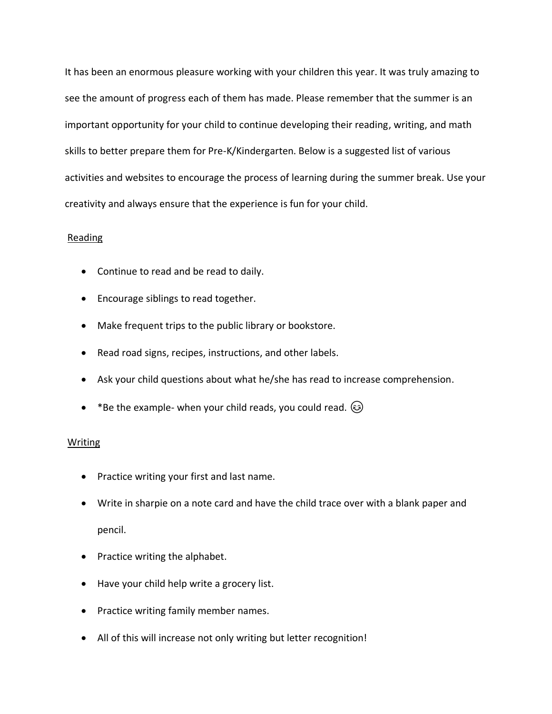It has been an enormous pleasure working with your children this year. It was truly amazing to see the amount of progress each of them has made. Please remember that the summer is an important opportunity for your child to continue developing their reading, writing, and math skills to better prepare them for Pre-K/Kindergarten. Below is a suggested list of various activities and websites to encourage the process of learning during the summer break. Use your creativity and always ensure that the experience is fun for your child.

# Reading

- Continue to read and be read to daily.
- Encourage siblings to read together.
- Make frequent trips to the public library or bookstore.
- Read road signs, recipes, instructions, and other labels.
- Ask your child questions about what he/she has read to increase comprehension.
- \*Be the example- when your child reads, you could read.  $\odot$

# Writing

- Practice writing your first and last name.
- Write in sharpie on a note card and have the child trace over with a blank paper and pencil.
- Practice writing the alphabet.
- Have your child help write a grocery list.
- Practice writing family member names.
- All of this will increase not only writing but letter recognition!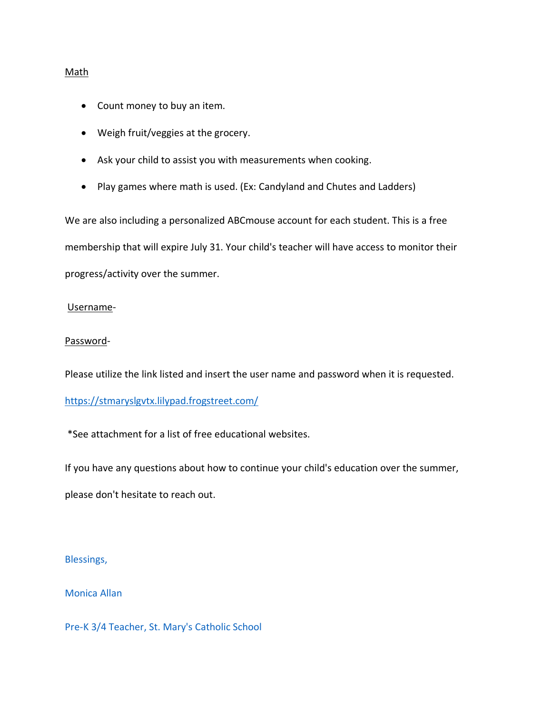## Math

- Count money to buy an item.
- Weigh fruit/veggies at the grocery.
- Ask your child to assist you with measurements when cooking.
- Play games where math is used. (Ex: Candyland and Chutes and Ladders)

We are also including a personalized ABCmouse account for each student. This is a free membership that will expire July 31. Your child's teacher will have access to monitor their progress/activity over the summer.

# Username-

# Password-

Please utilize the link listed and insert the user name and password when it is requested.

<https://stmaryslgvtx.lilypad.frogstreet.com/>

\*See attachment for a list of free educational websites.

If you have any questions about how to continue your child's education over the summer, please don't hesitate to reach out.

Blessings,

Monica Allan

Pre-K 3/4 Teacher, St. Mary's Catholic School